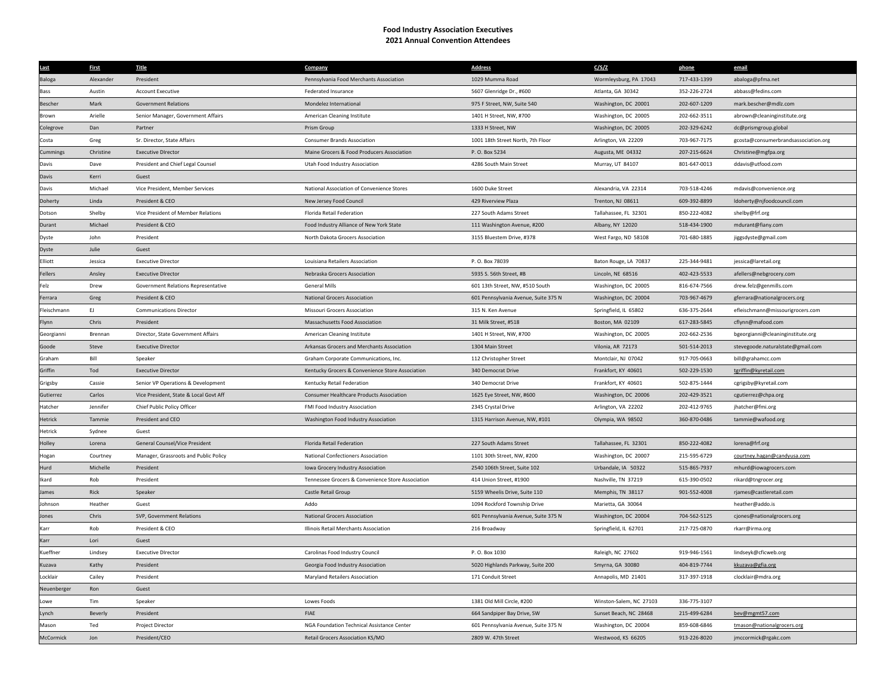## **Food Industry Association Executives 2021 Annual Convention Attendees**

| Last           | <b>First</b> | <b>Title</b>                           | Company                                           | <b>Address</b>                       | C/S/Z                   | phone        | email                                |
|----------------|--------------|----------------------------------------|---------------------------------------------------|--------------------------------------|-------------------------|--------------|--------------------------------------|
| <b>Baloga</b>  | Alexander    | President                              | Pennsylvania Food Merchants Association           | 1029 Mumma Road                      | Wormleysburg, PA 17043  | 717-433-1399 | abaloga@pfma.net                     |
| Bass           | Austin       | <b>Account Executive</b>               | Federated Insurance                               | 5607 Glenridge Dr., #600             | Atlanta, GA 30342       | 352-226-2724 | abbass@fedins.com                    |
| <b>Bescher</b> | Mark         | <b>Government Relations</b>            | Mondelez International                            | 975 F Street, NW, Suite 540          | Washington, DC 20001    | 202-607-1209 | mark.bescher@mdlz.com                |
| Brown          | Arielle      | Senior Manager, Government Affairs     | American Cleaning Institute                       | 1401 H Street, NW, #700              | Washington, DC 20005    | 202-662-3511 | abrown@cleaninginstitute.org         |
| olegrove       | Dan          | Partner                                | Prism Group                                       | 1333 H Street, NW                    | Washington, DC 20005    | 202-329-6242 | dc@prismgroup.global                 |
| Costa          | Greg         | Sr. Director, State Affairs            | <b>Consumer Brands Association</b>                | 1001 18th Street North, 7th Floor    | Arlington, VA 22209     | 703-967-7175 | gcosta@consumerbrandsassociation.org |
| ummings        | Christine    | <b>Executive DIrector</b>              | Maine Grocers & Food Producers Association        | P.O. Box 5234                        | Augusta, ME 04332       | 207-215-6624 | Christine@mgfpa.org                  |
| Davis          | Dave         | President and Chief Legal Counsel      | Utah Food Industry Association                    | 4286 South Main Street               | Murray, UT 84107        | 801-647-0013 | ddavis@utfood.com                    |
| Davis          | Kerri        | Guest                                  |                                                   |                                      |                         |              |                                      |
| Davis          | Michael      | Vice President, Member Services        | National Association of Convenience Stores        | 1600 Duke Street                     | Alexandria, VA 22314    | 703-518-4246 | mdavis@convenience.org               |
| Doherty        | Linda        | President & CEO                        | New Jersey Food Council                           | 429 Riverview Plaza                  | Trenton, NJ 08611       | 609-392-8899 | ldoherty@njfoodcouncil.com           |
| Dotson         | Shelby       | Vice President of Member Relations     | Florida Retail Federation                         | 227 South Adams Street               | Tallahassee, FL 32301   | 850-222-4082 | shelby@frf.org                       |
| Durant         | Michael      | President & CEO                        | Food Industry Alliance of New York State          | 111 Washington Avenue, #200          | Albany, NY 12020        | 518-434-1900 | mdurant@fiany.com                    |
| Dyste          | John         | President                              | North Dakota Grocers Association                  | 3155 Bluestem Drive, #378            | West Fargo, ND 58108    | 701-680-1885 | jiggsdyste@gmail.com                 |
| Dyste          | Julie        | Guest                                  |                                                   |                                      |                         |              |                                      |
| Elliott        | Jessica      | <b>Executive Director</b>              | Louisiana Retailers Association                   | P. O. Box 78039                      | Baton Rouge, LA 70837   | 225-344-9481 | jessica@laretail.org                 |
| Fellers        | Ansley       | <b>Executive DIrector</b>              | Nebraska Grocers Association                      | 5935 S. 56th Street, #B              | Lincoln, NE 68516       | 402-423-5533 | afellers@nebgrocery.com              |
| Felz           | Drew         | Government Relations Representative    | <b>General Mills</b>                              | 601 13th Street, NW, #510 South      | Washington, DC 20005    | 816-674-7566 | drew.felz@genmills.com               |
| Ferrara        | Greg         | President & CEO                        | National Grocers Association                      | 601 Pennsylvania Avenue, Suite 375 N | Washington, DC 20004    | 703-967-4679 | gferrara@nationalgrocers.org         |
| leischmann     | EJ.          | <b>Communications Director</b>         | <b>Missouri Grocers Association</b>               | 315 N. Ken Avenue                    | Springfield, IL 65802   | 636-375-2644 | efleischmann@missourigrocers.com     |
| -lynn          | Chris        | President                              | Massachusetts Food Association                    | 31 Milk Street, #518                 | Boston, MA 02109        | 617-283-5845 | cflynn@mafood.com                    |
| Georgianni     | Brennan      | Director, State Government Affairs     | American Cleaning Institute                       | 1401 H Street, NW, #700              | Washington, DC 20005    | 202-662-2536 | bgeorgianni@cleaninginstitute.org    |
| Goode          | Steve        | <b>Executive Director</b>              | Arkansas Grocers and Merchants Association        | 1304 Main Street                     | Vilonia, AR 72173       | 501-514-2013 | stevegoode.naturalstate@gmail.com    |
| Graham         | Rill         | Speaker                                | Graham Corporate Communications, Inc.             | 112 Christopher Street               | Montclair, NJ 07042     | 917-705-0663 | bill@grahamcc.com                    |
| Griffin        | Tod          | <b>Executive Director</b>              | Kentucky Grocers & Convenience Store Association  | 340 Democrat Drive                   | Frankfort, KY 40601     | 502-229-1530 | tgriffin@kyretail.com                |
| Grigsby        | Cassie       | Senior VP Operations & Development     | Kentucky Retail Federation                        | 340 Democrat Drive                   | Frankfort, KY 40601     | 502-875-1444 | cgrigsby@kyretail.com                |
| Gutierrez      | Carlos       | Vice President, State & Local Govt Aff | Consumer Healthcare Products Association          | 1625 Eye Street, NW, #600            | Washington, DC 20006    | 202-429-3521 | cgutierrez@chpa.org                  |
| Hatcher        | Jennifer     | Chief Public Policy Officer            | FMI Food Industry Association                     | 2345 Crystal Drive                   | Arlington, VA 22202     | 202-412-9765 | jhatcher@fmi.org                     |
| Hetrick        | Tammie       | President and CEO                      | Washington Food Industry Association              | 1315 Harrison Avenue, NW, #101       | Olympia, WA 98502       | 360-870-0486 | tammie@wafood.org                    |
| <b>Hetrick</b> | Sydnee       | Guest                                  |                                                   |                                      |                         |              |                                      |
| Holley         | Lorena       | General Counsel/Vice President         | Florida Retail Federation                         | 227 South Adams Street               | Tallahassee, FL 32301   | 850-222-4082 | lorena@frf.org                       |
| Hogan          | Courtney     | Manager, Grassroots and Public Policy  | National Confectioners Association                | 1101 30th Street, NW, #200           | Washington, DC 20007    | 215-595-6729 | courtney.hagan@candyusa.com          |
| Hurd           | Michelle     | President                              | Iowa Grocery Industry Association                 | 2540 106th Street, Suite 102         | Urbandale, IA 50322     | 515-865-7937 | mhurd@iowagrocers.com                |
| Ikard          | Rob          | President                              | Tennessee Grocers & Convenience Store Association | 414 Union Street, #1900              | Nashville, TN 37219     | 615-390-0502 | rikard@tngrocer.org                  |
| James          | Rick         | Speaker                                | Castle Retail Group                               | 5159 Wheelis Drive, Suite 110        | Memphis, TN 38117       | 901-552-4008 | rjames@castleretail.com              |
| Johnsor        | Heather      | Guest                                  | Addo                                              | 1094 Rockford Township Drive         | Marietta, GA 30064      |              | heather@addo.is                      |
| Jones          | Chris        | SVP, Government Relations              | <b>National Grocers Association</b>               | 601 Pennsylvania Avenue, Suite 375 N | Washington, DC 20004    | 704-562-5125 | cjones@nationalgrocers.org           |
| Karr           | Rob          | President & CEO                        | Illinois Retail Merchants Association             | 216 Broadway                         | Springfield, IL 62701   | 217-725-0870 | rkarr@irma.org                       |
| Karr           | Lori         | Guest                                  |                                                   |                                      |                         |              |                                      |
| <b>ueffner</b> | Lindsey      | <b>Executive DIrector</b>              | Carolinas Food Industry Council                   | P.O. Box 1030                        | Raleigh, NC 27602       | 919-946-1561 | lindseyk@cficweb.org                 |
| Kuzava         | Kathy        | President                              | Georgia Food Industry Association                 | 5020 Highlands Parkway, Suite 200    | Smyrna, GA 30080        | 404-819-7744 | kkuzava@gfia.org                     |
| ocklair        | Cailey       | President                              | Maryland Retailers Association                    | 171 Conduit Street                   | Annapolis, MD 21401     | 317-397-1918 | clocklair@mdra.org                   |
| Neuenberger    | Ron          | Guest                                  |                                                   |                                      |                         |              |                                      |
| .owe           | Tim          | Speaker                                | Lowes Foods                                       | 1381 Old Mill Circle, #200           | Winston-Salem, NC 27103 | 336-775-3107 |                                      |
| .ynch          | Beverly      | President                              | FIAE                                              | 664 Sandpiper Bay Drive, SW          | Sunset Beach, NC 28468  | 215-499-6284 | bev@mgmt57.com                       |
| Mason          | Ted          | Project Director                       | NGA Foundation Technical Assistance Center        | 601 Pennsylvania Avenue, Suite 375 N | Washington, DC 20004    | 859-608-6846 | tmason@nationalgrocers.org           |
| McCormick      | Ion          | President/CEO                          | Retail Grocers Association KS/MO                  | 2809 W. 47th Street                  | Westwood, KS 66205      | 913-226-8020 | jmccormick@rgakc.com                 |